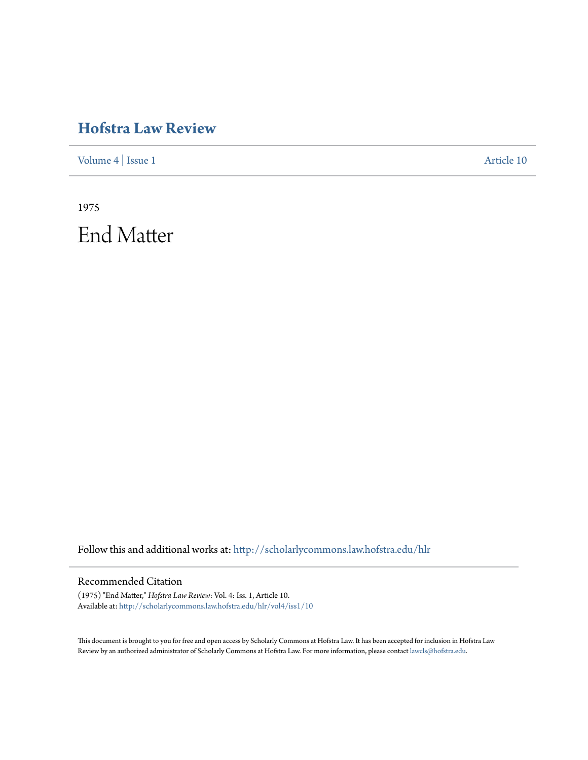## **[Hofstra Law Review](http://scholarlycommons.law.hofstra.edu/hlr?utm_source=scholarlycommons.law.hofstra.edu%2Fhlr%2Fvol4%2Fiss1%2F10&utm_medium=PDF&utm_campaign=PDFCoverPages)**

[Volume 4](http://scholarlycommons.law.hofstra.edu/hlr/vol4?utm_source=scholarlycommons.law.hofstra.edu%2Fhlr%2Fvol4%2Fiss1%2F10&utm_medium=PDF&utm_campaign=PDFCoverPages) | [Issue 1](http://scholarlycommons.law.hofstra.edu/hlr/vol4/iss1?utm_source=scholarlycommons.law.hofstra.edu%2Fhlr%2Fvol4%2Fiss1%2F10&utm_medium=PDF&utm_campaign=PDFCoverPages) [Article 10](http://scholarlycommons.law.hofstra.edu/hlr/vol4/iss1/10?utm_source=scholarlycommons.law.hofstra.edu%2Fhlr%2Fvol4%2Fiss1%2F10&utm_medium=PDF&utm_campaign=PDFCoverPages)

1975 End Matter

Follow this and additional works at: [http://scholarlycommons.law.hofstra.edu/hlr](http://scholarlycommons.law.hofstra.edu/hlr?utm_source=scholarlycommons.law.hofstra.edu%2Fhlr%2Fvol4%2Fiss1%2F10&utm_medium=PDF&utm_campaign=PDFCoverPages)

### Recommended Citation

(1975) "End Matter," *Hofstra Law Review*: Vol. 4: Iss. 1, Article 10. Available at: [http://scholarlycommons.law.hofstra.edu/hlr/vol4/iss1/10](http://scholarlycommons.law.hofstra.edu/hlr/vol4/iss1/10?utm_source=scholarlycommons.law.hofstra.edu%2Fhlr%2Fvol4%2Fiss1%2F10&utm_medium=PDF&utm_campaign=PDFCoverPages)

This document is brought to you for free and open access by Scholarly Commons at Hofstra Law. It has been accepted for inclusion in Hofstra Law Review by an authorized administrator of Scholarly Commons at Hofstra Law. For more information, please contact [lawcls@hofstra.edu](mailto:lawcls@hofstra.edu).